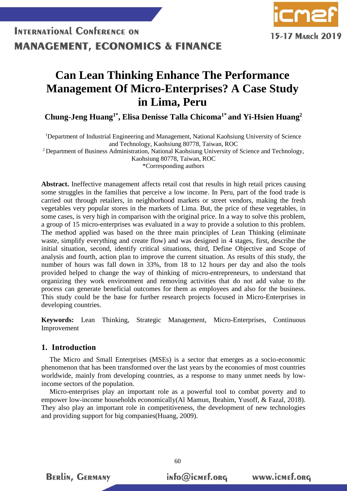

### **Can Lean Thinking Enhance The Performance Management Of Micro-Enterprises? A Case Study in Lima, Peru**

**Chung-Jeng Huang1\* , Elisa Denisse Talla Chicoma1\* and Yi-Hsien Huang<sup>2</sup>**

<sup>1</sup>Department of Industrial Engineering and Management, National Kaohsiung University of Science and Technology, Kaohsiung 80778, Taiwan, ROC

<sup>2</sup> Department of Business Administration, National Kaohsiung University of Science and Technology, Kaohsiung 80778, Taiwan, ROC

\*Corresponding authors

**Abstract.** Ineffective management affects retail cost that results in high retail prices causing some struggles in the families that perceive a low income. In Peru, part of the food trade is carried out through retailers, in neighborhood markets or street vendors, making the fresh vegetables very popular stores in the markets of Lima. But, the price of these vegetables, in some cases, is very high in comparison with the original price. In a way to solve this problem, a group of 15 micro-enterprises was evaluated in a way to provide a solution to this problem. The method applied was based on the three main principles of Lean Thinking (eliminate waste, simplify everything and create flow) and was designed in 4 stages, first, describe the initial situation, second, identify critical situations, third, Define Objective and Scope of analysis and fourth, action plan to improve the current situation. As results of this study, the number of hours was fall down in 33%, from 18 to 12 hours per day and also the tools provided helped to change the way of thinking of micro-entrepreneurs, to understand that organizing they work environment and removing activities that do not add value to the process can generate beneficial outcomes for them as employees and also for the business. This study could be the base for further research projects focused in Micro-Enterprises in developing countries.

**Keywords:** Lean Thinking, Strategic Management, Micro-Enterprises, Continuous Improvement

### **1. Introduction**

**BERLIN, GERMANY** 

The Micro and Small Enterprises (MSEs) is a sector that emerges as a socio-economic phenomenon that has been transformed over the last years by the economies of most countries worldwide, mainly from developing countries, as a response to many unmet needs by lowincome sectors of the population.

Micro-enterprises play an important role as a powerful tool to combat poverty and to empower low-income households economically(Al Mamun, Ibrahim, Yusoff, & Fazal, 2018). They also play an important role in competitiveness, the development of new technologies and providing support for big companies(Huang, 2009).

info@icmef.org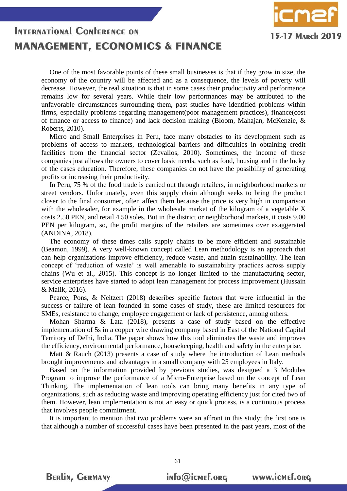

One of the most favorable points of these small businesses is that if they grow in size, the economy of the country will be affected and as a consequence, the levels of poverty will decrease. However, the real situation is that in some cases their productivity and performance remains low for several years. While their low performances may be attributed to the unfavorable circumstances surrounding them, past studies have identified problems within firms, especially problems regarding management(poor management practices), finance(cost of finance or access to finance) and lack decision making (Bloom, Mahajan, McKenzie, & Roberts, 2010).

Micro and Small Enterprises in Peru, face many obstacles to its development such as problems of access to markets, technological barriers and difficulties in obtaining credit facilities from the financial sector (Zevallos, 2010). Sometimes, the income of these companies just allows the owners to cover basic needs, such as food, housing and in the lucky of the cases education. Therefore, these companies do not have the possibility of generating profits or increasing their productivity.

In Peru, 75 % of the food trade is carried out through retailers, in neighborhood markets or street vendors. Unfortunately, even this supply chain although seeks to bring the product closer to the final consumer, often affect them because the price is very high in comparison with the wholesaler, for example in the wholesale market of the kilogram of a vegetable X costs 2.50 PEN, and retail 4.50 soles. But in the district or neighborhood markets, it costs 9.00 PEN per kilogram, so, the profit margins of the retailers are sometimes over exaggerated (ANDINA, 2018).

The economy of these times calls supply chains to be more efficient and sustainable (Beamon, 1999). A very well-known concept called Lean methodology is an approach that can help organizations improve efficiency, reduce waste, and attain sustainability. The lean concept of 'reduction of waste' is well amenable to sustainability practices across supply chains (Wu et al., 2015). This concept is no longer limited to the manufacturing sector, service enterprises have started to adopt lean management for process improvement (Hussain & Malik, 2016).

Pearce, Pons, & Neitzert (2018) describes specific factors that were influential in the success or failure of lean founded in some cases of study, these are limited resources for SMEs, resistance to change, employee engagement or lack of persistence, among others.

Mohan Sharma & Lata (2018), presents a case of study based on the effective implementation of 5s in a copper wire drawing company based in East of the National Capital Territory of Delhi, India. The paper shows how this tool eliminates the waste and improves the efficiency, environmental performance, housekeeping, health and safety in the enterprise.

Matt & Rauch (2013) presents a case of study where the introduction of Lean methods brought improvements and advantages in a small company with 25 employees in Italy.

Based on the information provided by previous studies, was designed a 3 Modules Program to improve the performance of a Micro-Enterprise based on the concept of Lean Thinking. The implementation of lean tools can bring many benefits in any type of organizations, such as reducing waste and improving operating efficiency just for cited two of them. However, lean implementation is not an easy or quick process, is a continuous process that involves people commitment.

It is important to mention that two problems were an affront in this study; the first one is that although a number of successful cases have been presented in the past years, most of the

61

**BERLIN, GERMANY** 

info@icmef.org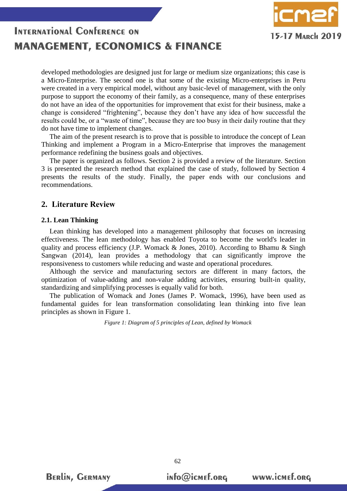

developed methodologies are designed just for large or medium size organizations; this case is a Micro-Enterprise. The second one is that some of the existing Micro-enterprises in Peru were created in a very empirical model, without any basic-level of management, with the only purpose to support the economy of their family, as a consequence, many of these enterprises do not have an idea of the opportunities for improvement that exist for their business, make a change is considered "frightening", because they don't have any idea of how successful the results could be, or a "waste of time", because they are too busy in their daily routine that they do not have time to implement changes.

The aim of the present research is to prove that is possible to introduce the concept of Lean Thinking and implement a Program in a Micro-Enterprise that improves the management performance redefining the business goals and objectives.

The paper is organized as follows. Section 2 is provided a review of the literature. Section 3 is presented the research method that explained the case of study, followed by Section 4 presents the results of the study. Finally, the paper ends with our conclusions and recommendations.

### **2. Literature Review**

### **2.1. Lean Thinking**

Lean thinking has developed into a management philosophy that focuses on increasing effectiveness. The lean methodology has enabled Toyota to become the world's leader in quality and process efficiency (J.P. Womack & Jones, 2010). According to Bhamu & Singh Sangwan (2014), lean provides a methodology that can significantly improve the responsiveness to customers while reducing and waste and operational procedures.

Although the service and manufacturing sectors are different in many factors, the optimization of value-adding and non-value adding activities, ensuring built-in quality, standardizing and simplifying processes is equally valid for both.

The publication of Womack and Jones (James P. Womack, 1996), have been used as fundamental guides for lean transformation consolidating lean thinking into five lean principles as shown in Figure 1.

*Figure 1: Diagram of 5 principles of Lean, defined by Womack*

**BERLIN, GERMANY** 

info@icmef.org

62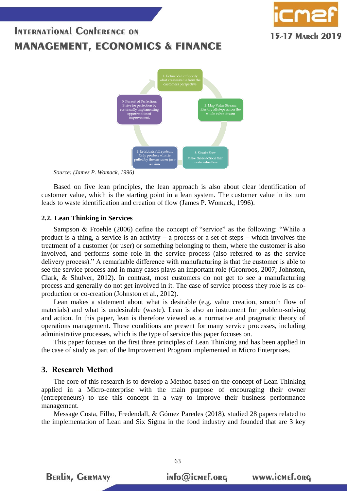

*Source: (James P. Womack, 1996)*

Based on five lean principles, the lean approach is also about clear identification of customer value, which is the starting point in a lean system. The customer value in its turn leads to waste identification and creation of flow (James P. Womack, 1996).

### **2.2. Lean Thinking in Services**

Sampson & Froehle (2006) define the concept of "service" as the following: "While a product is a thing, a service is an activity – a process or a set of steps – which involves the treatment of a customer (or user) or something belonging to them, where the customer is also involved, and performs some role in the service process (also referred to as the service delivery process)." A remarkable difference with manufacturing is that the customer is able to see the service process and in many cases plays an important role (Gronroos, 2007; Johnston, Clark, & Shulver, 2012). In contrast, most customers do not get to see a manufacturing process and generally do not get involved in it. The case of service process they role is as coproduction or co-creation (Johnston et al., 2012).

Lean makes a statement about what is desirable (e.g. value creation, smooth flow of materials) and what is undesirable (waste). Lean is also an instrument for problem-solving and action. In this paper, lean is therefore viewed as a normative and pragmatic theory of operations management. These conditions are present for many service processes, including administrative processes, which is the type of service this paper focuses on.

This paper focuses on the first three principles of Lean Thinking and has been applied in the case of study as part of the Improvement Program implemented in Micro Enterprises.

### **3. Research Method**

The core of this research is to develop a Method based on the concept of Lean Thinking applied in a Micro-enterprise with the main purpose of encouraging their owner (entrepreneurs) to use this concept in a way to improve their business performance management.

Message Costa, Filho, Fredendall, & Gómez Paredes (2018), studied 28 papers related to the implementation of Lean and Six Sigma in the food industry and founded that are 3 key

**BERLIN, GERMANY** 

info@icmef.org

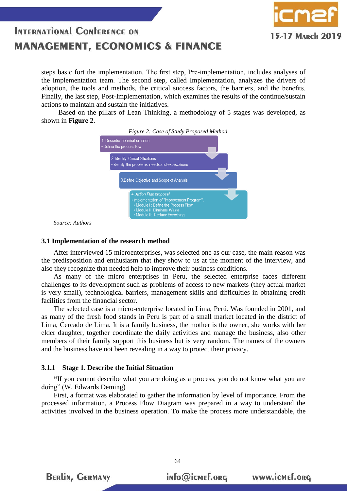15-17 MARCH 2019

steps basic fort the implementation. The first step, Pre-implementation, includes analyses of the implementation team. The second step, called Implementation, analyzes the drivers of adoption, the tools and methods, the critical success factors, the barriers, and the benefits. Finally, the last step, Post-Implementation, which examines the results of the continue/sustain actions to maintain and sustain the initiatives.

 Based on the pillars of Lean Thinking, a methodology of 5 stages was developed, as shown in **Figure 2**.



*Source: Authors*

#### **3.1 Implementation of the research method**

After interviewed 15 microenterprises, was selected one as our case, the main reason was the predisposition and enthusiasm that they show to us at the moment of the interview, and also they recognize that needed help to improve their business conditions.

As many of the micro enterprises in Peru, the selected enterprise faces different challenges to its development such as problems of access to new markets (they actual market is very small), technological barriers, management skills and difficulties in obtaining credit facilities from the financial sector.

The selected case is a micro-enterprise located in Lima, Perú. Was founded in 2001, and as many of the fresh food stands in Peru is part of a small market located in the district of Lima, Cercado de Lima. It is a family business, the mother is the owner, she works with her elder daughter, together coordinate the daily activities and manage the business, also other members of their family support this business but is very random. The names of the owners and the business have not been revealing in a way to protect their privacy.

#### **3.1.1 Stage 1. Describe the Initial Situation**

**BERLIN, GERMANY** 

**"**If you cannot describe what you are doing as a process, you do not know what you are doing" (W. Edwards Deming)

First, a format was elaborated to gather the information by level of importance. From the processed information, a Process Flow Diagram was prepared in a way to understand the activities involved in the business operation. To make the process more understandable, the

info@icmef.org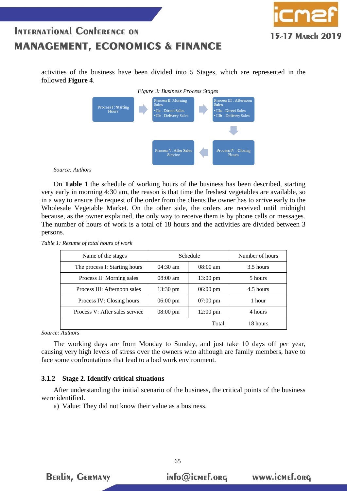

activities of the business have been divided into 5 Stages, which are represented in the followed **Figure 4**.



*Source: Authors*

On **Table 1** the schedule of working hours of the business has been described, starting very early in morning 4:30 am, the reason is that time the freshest vegetables are available, so in a way to ensure the request of the order from the clients the owner has to arrive early to the Wholesale Vegetable Market. On the other side, the orders are received until midnight because, as the owner explained, the only way to receive them is by phone calls or messages. The number of hours of work is a total of 18 hours and the activities are divided between 3 persons.

| Name of the stages             | Schedule           |                    | Number of hours |
|--------------------------------|--------------------|--------------------|-----------------|
| The process I: Starting hours  | $04:30$ am         | $08:00 \text{ am}$ | 3.5 hours       |
| Process II: Morning sales      | $08:00$ am         | $13:00 \text{ pm}$ | 5 hours         |
| Process III: Afternoon sales   | $13:30 \text{ pm}$ | $06:00 \text{ pm}$ | 4.5 hours       |
| Process IV: Closing hours      | $06:00 \text{ pm}$ | $07:00 \text{ pm}$ | 1 hour          |
| Process V: After sales service | $08:00 \text{ pm}$ | $12:00 \text{ pm}$ | 4 hours         |
|                                |                    | Total:             | 18 hours        |

*Table 1: Resume of total hours of work*

*Source: Authors*

The working days are from Monday to Sunday, and just take 10 days off per year, causing very high levels of stress over the owners who although are family members, have to face some confrontations that lead to a bad work environment.

### **3.1.2 Stage 2. Identify critical situations**

After understanding the initial scenario of the business, the critical points of the business were identified.

65

a) Value: They did not know their value as a business.



info@icmef.org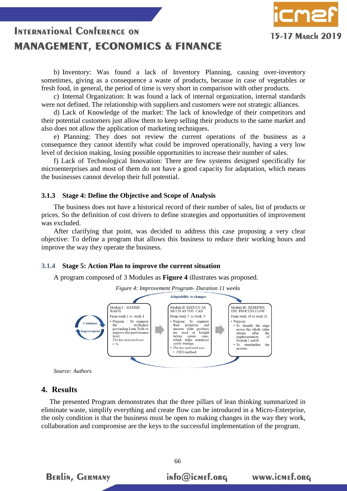b) Inventory: Was found a lack of Inventory Planning, causing over-inventory sometimes, giving as a consequence a waste of products, because in case of vegetables or fresh food, in general, the period of time is very short in comparison with other products.

15-17 MARCH 2019

c) Internal Organization: It was found a lack of internal organization, internal standards were not defined. The relationship with suppliers and customers were not strategic alliances.

d) Lack of Knowledge of the market: The lack of knowledge of their competitors and their potential customers just allow them to keep selling their products to the same market and also does not allow the application of marketing techniques.

e) Planning: They does not review the current operations of the business as a consequence they cannot identify what could be improved operationally, having a very low level of decision making, losing possible opportunities to increase their number of sales.

f) Lack of Technological Innovation: There are few systems designed specifically for microenterprises and most of them do not have a good capacity for adaptation, which means the businesses cannot develop their full potential.

#### **3.1.3 Stage 4: Define the Objective and Scope of Analysis**

The business does not have a historical record of their number of sales, list of products or prices. So the definition of cost drivers to define strategies and opportunities of improvement was excluded.

After clarifying that point, was decided to address this case proposing a very clear objective: To define a program that allows this business to reduce their working hours and improve the way they operate the business.

#### **3.1.4 Stage 5: Action Plan to improve the current situation**

A program composed of 3 Modules as **Figure 4** illustrates was proposed.



*Source: Authors*

**BERLIN, GERMANY** 

### **4. Results**

The presented Program demonstrates that the three pillars of lean thinking summarized in eliminate waste, simplify everything and create flow can be introduced in a Micro-Enterprise, the only condition is that the business must be open to making changes in the way they work, collaboration and compromise are the keys to the successful implementation of the program.

info@icmef.org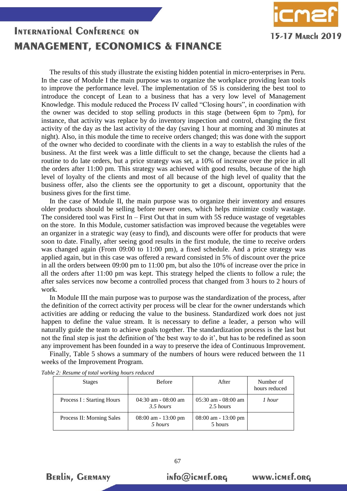

The results of this study illustrate the existing hidden potential in micro-enterprises in Peru. In the case of Module I the main purpose was to organize the workplace providing lean tools to improve the performance level. The implementation of 5S is considering the best tool to introduce the concept of Lean to a business that has a very low level of Management Knowledge. This module reduced the Process IV called "Closing hours", in coordination with the owner was decided to stop selling products in this stage (between 6pm to 7pm), for instance, that activity was replace by do inventory inspection and control, changing the first activity of the day as the last activity of the day (saving 1 hour at morning and 30 minutes at night). Also, in this module the time to receive orders changed; this was done with the support of the owner who decided to coordinate with the clients in a way to establish the rules of the business. At the first week was a little difficult to set the change, because the clients had a routine to do late orders, but a price strategy was set, a 10% of increase over the price in all the orders after 11:00 pm. This strategy was achieved with good results, because of the high level of loyalty of the clients and most of all because of the high level of quality that the business offer, also the clients see the opportunity to get a discount, opportunity that the business gives for the first time.

In the case of Module II, the main purpose was to organize their inventory and ensures older products should be selling before newer ones, which helps minimize costly wastage. The considered tool was First In – First Out that in sum with 5S reduce wastage of vegetables on the store. In this Module, customer satisfaction was improved because the vegetables were an organizer in a strategic way (easy to find), and discounts were offer for products that were soon to date. Finally, after seeing good results in the first module, the time to receive orders was changed again (From 09:00 to 11:00 pm), a fixed schedule. And a price strategy was applied again, but in this case was offered a reward consisted in 5% of discount over the price in all the orders between 09:00 pm to 11:00 pm, but also the 10% of increase over the price in all the orders after 11:00 pm was kept. This strategy helped the clients to follow a rule; the after sales services now become a controlled process that changed from 3 hours to 2 hours of work.

In Module III the main purpose was to purpose was the standardization of the process, after the definition of the correct activity per process will be clear for the owner understands which activities are adding or reducing the value to the business. Standardized work does not just happen to define the value stream. It is necessary to define a leader, a person who will naturally guide the team to achieve goals together. The standardization process is the last but not the final step is just the definition of 'the best way to do it', but has to be redefined as soon any improvement has been founded in a way to preserve the idea of Continuous Improvement.

Finally, Table 5 shows a summary of the numbers of hours were reduced between the 11 weeks of the Improvement Program.

| <b>Stages</b>             | <b>Before</b>                        | After                                | Number of<br>hours reduced |
|---------------------------|--------------------------------------|--------------------------------------|----------------------------|
| Process I: Starting Hours | $04:30$ am - $08:00$ am<br>3.5 hours | $05:30$ am - $08:00$ am<br>2.5 hours | 1 hour                     |
| Process II: Morning Sales | $08:00$ am - 13:00 pm<br>5 hours     | $08:00$ am - 13:00 pm<br>5 hours     |                            |

67

*Table 2: Resume of total working hours reduced*



info@icmef.org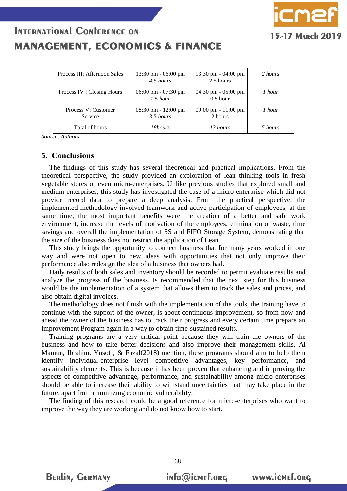| Process III: Afternoon Sales   | $13:30 \text{ pm} - 06:00 \text{ pm}$<br>4.5 hours   | $13:30 \text{ pm} - 04:00 \text{ pm}$<br>2.5 hours  | 2 hours |
|--------------------------------|------------------------------------------------------|-----------------------------------------------------|---------|
| Process IV : Closing Hours     | $06:00 \text{ pm} - 07:30 \text{ pm}$<br>$1.5$ hour  | $04:30 \text{ pm} - 05:00 \text{ pm}$<br>$0.5$ hour | 1 hour  |
| Process V: Customer<br>Service | $08:30 \text{ pm} - 12:00 \text{ pm}$<br>$3.5$ hours | 09:00 pm - $11:00$ pm<br>2 hours                    | 1 hour  |
| Total of hours                 | 18hours                                              | 13 hours                                            | 5 hours |

*Source: Authors*

#### **5. Conclusions**

The findings of this study has several theoretical and practical implications. From the theoretical perspective, the study provided an exploration of lean thinking tools in fresh vegetable stores or even micro-enterprises. Unlike previous studies that explored small and medium enterprises, this study has investigated the case of a micro-enterprise which did not provide record data to prepare a deep analysis. From the practical perspective, the implemented methodology involved teamwork and active participation of employees, at the same time, the most important benefits were the creation of a better and safe work environment, increase the levels of motivation of the employees, elimination of waste, time savings and overall the implementation of 5S and FIFO Storage System, demonstrating that the size of the business does not restrict the application of Lean.

This study brings the opportunity to connect business that for many years worked in one way and were not open to new ideas with opportunities that not only improve their performance also redesign the idea of a business that owners had.

Daily results of both sales and inventory should be recorded to permit evaluate results and analyze the progress of the business. Is recommended that the next step for this business would be the implementation of a system that allows them to track the sales and prices, and also obtain digital invoices.

The methodology does not finish with the implementation of the tools, the training have to continue with the support of the owner, is about continuous improvement, so from now and ahead the owner of the business has to track their progress and every certain time prepare an Improvement Program again in a way to obtain time-sustained results.

Training programs are a very critical point because they will train the owners of the business and how to take better decisions and also improve their management skills. Al Mamun, Ibrahim, Yusoff, & Fazal(2018) mention, these programs should aim to help them identify individual-enterprise level competitive advantages, key performance, and sustainability elements. This is because it has been proven that enhancing and improving the aspects of competitive advantage, performance, and sustainability among micro-enterprises should be able to increase their ability to withstand uncertainties that may take place in the future, apart from minimizing economic vulnerability.

The finding of this research could be a good reference for micro-enterprises who want to improve the way they are working and do not know how to start.

68

**BERLIN, GERMANY** 

15-17 March 201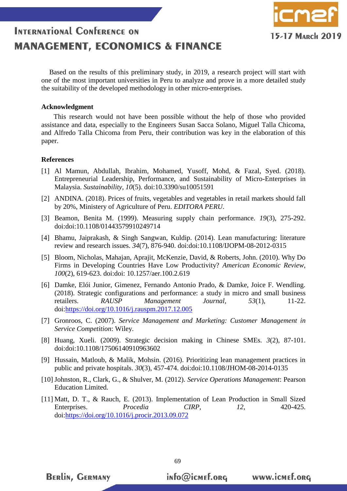

Based on the results of this preliminary study, in 2019, a research project will start with one of the most important universities in Peru to analyze and prove in a more detailed study the suitability of the developed methodology in other micro-enterprises.

### **Acknowledgment**

This research would not have been possible without the help of those who provided assistance and data, especially to the Engineers Susan Sacca Solano, Miguel Talla Chicoma, and Alfredo Talla Chicoma from Peru, their contribution was key in the elaboration of this paper.

### **References**

- [1] Al Mamun, Abdullah, Ibrahim, Mohamed, Yusoff, Mohd, & Fazal, Syed. (2018). Entrepreneurial Leadership, Performance, and Sustainability of Micro-Enterprises in Malaysia. *Sustainability, 10*(5). doi:10.3390/su10051591
- [2] ANDINA. (2018). Prices of fruits, vegetables and vegetables in retail markets should fall by 20%, Ministery of Agriculture of Peru. *EDITORA PERU*.
- [3] Beamon, Benita M. (1999). Measuring supply chain performance. *19*(3), 275-292. doi:doi:10.1108/01443579910249714
- [4] Bhamu, Jaiprakash, & Singh Sangwan, Kuldip. (2014). Lean manufacturing: literature review and research issues. *34*(7), 876-940. doi:doi:10.1108/IJOPM-08-2012-0315
- [5] Bloom, Nicholas, Mahajan, Aprajit, McKenzie, David, & Roberts, John. (2010). Why Do Firms in Developing Countries Have Low Productivity? *American Economic Review, 100*(2), 619-623. doi:doi: 10.1257/aer.100.2.619
- [6] Damke, Elói Junior, Gimenez, Fernando Antonio Prado, & Damke, Joice F. Wendling. (2018). Strategic configurations and performance: a study in micro and small business retailers. *RAUSP Management Journal, 53*(1), 11-22. doi[:https://doi.org/10.1016/j.rauspm.2017.12.005](https://doi.org/10.1016/j.rauspm.2017.12.005)
- [7] Gronroos, C. (2007). *Service Management and Marketing: Customer Management in Service Competition*: Wiley.
- [8] Huang, Xueli. (2009). Strategic decision making in Chinese SMEs. *3*(2), 87-101. doi:doi:10.1108/17506140910963602
- [9] Hussain, Matloub, & Malik, Mohsin. (2016). Prioritizing lean management practices in public and private hospitals. *30*(3), 457-474. doi:doi:10.1108/JHOM-08-2014-0135
- [10] Johnston, R., Clark, G., & Shulver, M. (2012). *Service Operations Management*: Pearson Education Limited.
- [11] Matt, D. T., & Rauch, E. (2013). Implementation of Lean Production in Small Sized Enterprises. *Procedia CIRP, 12*, 420-425. doi[:https://doi.org/10.1016/j.procir.2013.09.072](https://doi.org/10.1016/j.procir.2013.09.072)

69

**BERLIN, GERMANY** 

info@icmef.org